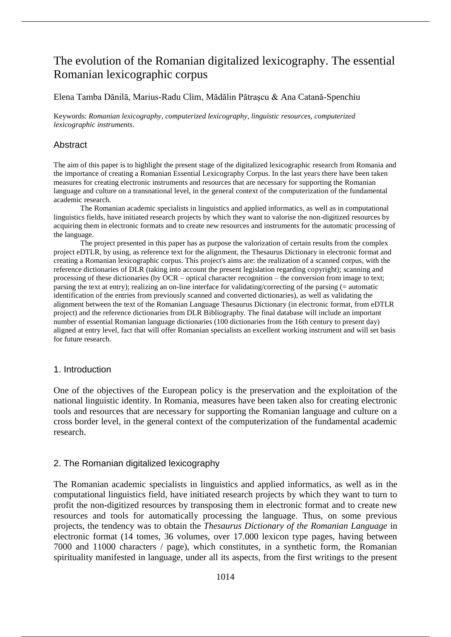# The evolution of the Romanian digitalized lexicography. The essential Romanian lexicographic corpus

# Elena Tamba Dănilă, Marius-Radu Clim, Mădălin Pătraşcu & Ana Catană-Spenchiu

Keywords: *Romanian lexicography*, *computerized lexicography*, *linguistic resources*, *computerized lexicographic instruments*.

# Abstract

The aim of this paper is to highlight the present stage of the digitalized lexicographic research from Romania and the importance of creating a Romanian Essential Lexicography Corpus. In the last years there have been taken measures for creating electronic instruments and resources that are necessary for supporting the Romanian language and culture on a transnational level, in the general context of the computerization of the fundamental academic research.

The Romanian academic specialists in linguistics and applied informatics, as well as in computational linguistics fields, have initiated research projects by which they want to valorise the non-digitized resources by acquiring them in electronic formats and to create new resources and instruments for the automatic processing of the language.

The project presented in this paper has as purpose the valorization of certain results from the complex project eDTLR, by using, as reference text for the alignment, the Thesaurus Dictionary in electronic format and creating a Romanian lexicographic corpus. This project's aims are: the realization of a scanned corpus, with the reference dictionaries of DLR (taking into account the present legislation regarding copyright); scanning and processing of these dictionaries (by OCR – optical character recognition – the conversion from image to text; parsing the text at entry); realizing an on-line interface for validating/correcting of the parsing (= automatic identification of the entries from previously scanned and converted dictionaries), as well as validating the alignment between the text of the Romanian Language Thesaurus Dictionary (in electronic format, from eDTLR project) and the reference dictionaries from DLR Bibliography. The final database will include an important number of essential Romanian language dictionaries (100 dictionaries from the 16th century to present day) aligned at entry level, fact that will offer Romanian specialists an excellent working instrument and will set basis for future research.

# 1. Introduction

One of the objectives of the European policy is the preservation and the exploitation of the national linguistic identity. In Romania, measures have been taken also for creating electronic tools and resources that are necessary for supporting the Romanian language and culture on a cross border level, in the general context of the computerization of the fundamental academic research.

# 2. The Romanian digitalized lexicography

The Romanian academic specialists in linguistics and applied informatics, as well as in the computational linguistics field, have initiated research projects by which they want to turn to profit the non-digitized resources by transposing them in electronic format and to create new resources and tools for automatically processing the language. Thus, on some previous projects, the tendency was to obtain the *Thesaurus Dictionary of the Romanian Language* in electronic format (14 tomes, 36 volumes, over 17.000 lexicon type pages, having between 7000 and 11000 characters / page), which constitutes, in a synthetic form, the Romanian spirituality manifested in language, under all its aspects, from the first writings to the present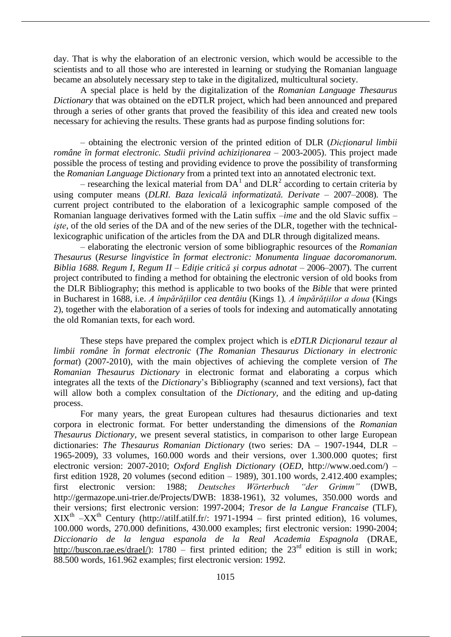day. That is why the elaboration of an electronic version, which would be accessible to the scientists and to all those who are interested in learning or studying the Romanian language became an absolutely necessary step to take in the digitalized, multicultural society.

A special place is held by the digitalization of the *Romanian Language Thesaurus Dictionary* that was obtained on the eDTLR project, which had been announced and prepared through a series of other grants that proved the feasibility of this idea and created new tools necessary for achieving the results. These grants had as purpose finding solutions for:

– obtaining the electronic version of the printed edition of DLR (*Dicţionarul limbii române în format electronic. Studii privind achiziţionarea* – 2003-2005). This project made possible the process of testing and providing evidence to prove the possibility of transforming the *Romanian Language Dictionary* from a printed text into an annotated electronic text.

– researching the lexical material from  $DA<sup>1</sup>$  and  $DLR<sup>2</sup>$  according to certain criteria by using computer means (*DLRI. Baza lexicală informatizată. Derivate* – 2007–2008). The current project contributed to the elaboration of a lexicographic sample composed of the Romanian language derivatives formed with the Latin suffix *–ime* and the old Slavic suffix *– işte*, of the old series of the DA and of the new series of the DLR, together with the technicallexicographic unification of the articles from the DA and DLR through digitalized means.

– elaborating the electronic version of some bibliographic resources of the *Romanian Thesaurus* (*Resurse lingvistice în format electronic: Monumenta linguae dacoromanorum. Biblia 1688. Regum I, Regum II – Ediţie critică şi corpus adnotat* – 2006–2007). The current project contributed to finding a method for obtaining the electronic version of old books from the DLR Bibliography; this method is applicable to two books of the *Bible* that were printed in Bucharest in 1688, i.e. *A împărăţiilor cea dentâiu* (Kings 1)*, A împărăţiilor a doua* (Kings 2)*,* together with the elaboration of a series of tools for indexing and automatically annotating the old Romanian texts, for each word.

These steps have prepared the complex project which is *eDTLR Dicţionarul tezaur al limbii române în format electronic* (*The Romanian Thesaurus Dictionary in electronic format*) (2007-2010), with the main objectives of achieving the complete version of *The Romanian Thesaurus Dictionary* in electronic format and elaborating a corpus which integrates all the texts of the *Dictionary*'s Bibliography (scanned and text versions), fact that will allow both a complex consultation of the *Dictionary,* and the editing and up-dating process.

For many years, the great European cultures had thesaurus dictionaries and text corpora in electronic format. For better understanding the dimensions of the *Romanian Thesaurus Dictionary*, we present several statistics, in comparison to other large European dictionaries: *The Thesaurus Romanian Dictionary* (two series: DA – 1907-1944, DLR – 1965-2009), 33 volumes, 160.000 words and their versions, over 1.300.000 quotes; first electronic version: 2007-2010; *Oxford English Dictionary* (*OED*, http://www.oed.com/) – first edition 1928, 20 volumes (second edition – 1989), 301.100 words, 2.412.400 examples; first electronic version: 1988; *Deutsches Wörterbuch "der Grimm"* (DWB, http://germazope.uni-trier.de/Projects/DWB: 1838-1961), 32 volumes, 350.000 words and their versions; first electronic version: 1997-2004; *Tresor de la Langue Francaise* (TLF),  $XIX<sup>th</sup> - XX<sup>th</sup>$  Century (http://atilf.atilf.fr/: 1971-1994 – first printed edition), 16 volumes, 100.000 words, 270.000 definitions, 430.000 examples; first electronic version: 1990-2004; *Diccionario de la lengua espanola de la Real Academia Espagnola* (DRAE, http://buscon.rae.es/draeI/):  $1780 -$  first printed edition; the  $23<sup>rd</sup>$  edition is still in work; 88.500 words, 161.962 examples; first electronic version: 1992.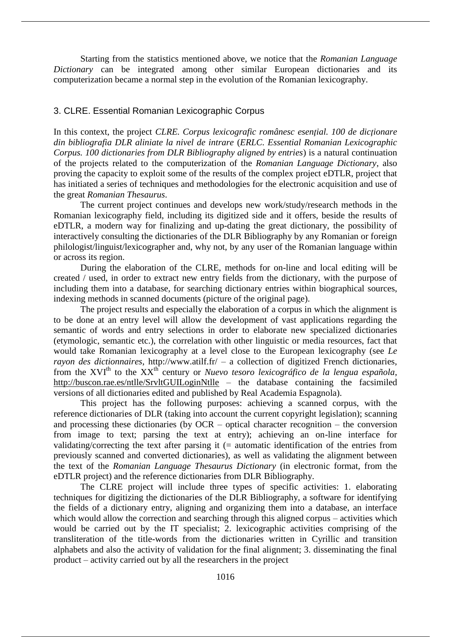Starting from the statistics mentioned above, we notice that the *Romanian Language Dictionary* can be integrated among other similar European dictionaries and its computerization became a normal step in the evolution of the Romanian lexicography.

# 3. CLRE. Essential Romanian Lexicographic Corpus

In this context, the project *CLRE. Corpus lexicografic românesc esenţial. 100 de dicţionare din bibliografia DLR aliniate la nivel de intrare* (*ERLC. Essential Romanian Lexicographic Corpus. 100 dictionaries from DLR Bibliography aligned by entries*) is a natural continuation of the projects related to the computerization of the *Romanian Language Dictionary*, also proving the capacity to exploit some of the results of the complex project eDTLR, project that has initiated a series of techniques and methodologies for the electronic acquisition and use of the great *Romanian Thesaurus*.

The current project continues and develops new work/study/research methods in the Romanian lexicography field, including its digitized side and it offers, beside the results of eDTLR, a modern way for finalizing and up-dating the great dictionary, the possibility of interactively consulting the dictionaries of the DLR Bibliography by any Romanian or foreign philologist/linguist/lexicographer and, why not, by any user of the Romanian language within or across its region.

During the elaboration of the CLRE, methods for on-line and local editing will be created / used, in order to extract new entry fields from the dictionary, with the purpose of including them into a database, for searching dictionary entries within biographical sources, indexing methods in scanned documents (picture of the original page).

The project results and especially the elaboration of a corpus in which the alignment is to be done at an entry level will allow the development of vast applications regarding the semantic of words and entry selections in order to elaborate new specialized dictionaries (etymologic, semantic etc.), the correlation with other linguistic or media resources, fact that would take Romanian lexicography at a level close to the European lexicography (see *Le rayon des dictionnaires*, http://www.atilf.fr/ – a collection of digitized French dictionaries, from the XVIth to the XXth century or *Nuevo tesoro lexicográfico de la lengua española*, http://buscon.rae.es/ntlle/SrvltGUILoginNtlle – the database containing the facsimiled versions of all dictionaries edited and published by Real Academia Espagnola).

This project has the following purposes: achieving a scanned corpus, with the reference dictionaries of DLR (taking into account the current copyright legislation); scanning and processing these dictionaries (by OCR – optical character recognition – the conversion from image to text; parsing the text at entry); achieving an on-line interface for validating/correcting the text after parsing it  $(=$  automatic identification of the entries from previously scanned and converted dictionaries), as well as validating the alignment between the text of the *Romanian Language Thesaurus Dictionary* (in electronic format, from the eDTLR project) and the reference dictionaries from DLR Bibliography.

The CLRE project will include three types of specific activities: 1. elaborating techniques for digitizing the dictionaries of the DLR Bibliography, a software for identifying the fields of a dictionary entry, aligning and organizing them into a database, an interface which would allow the correction and searching through this aligned corpus – activities which would be carried out by the IT specialist; 2. lexicographic activities comprising of the transliteration of the title-words from the dictionaries written in Cyrillic and transition alphabets and also the activity of validation for the final alignment; 3. disseminating the final product – activity carried out by all the researchers in the project